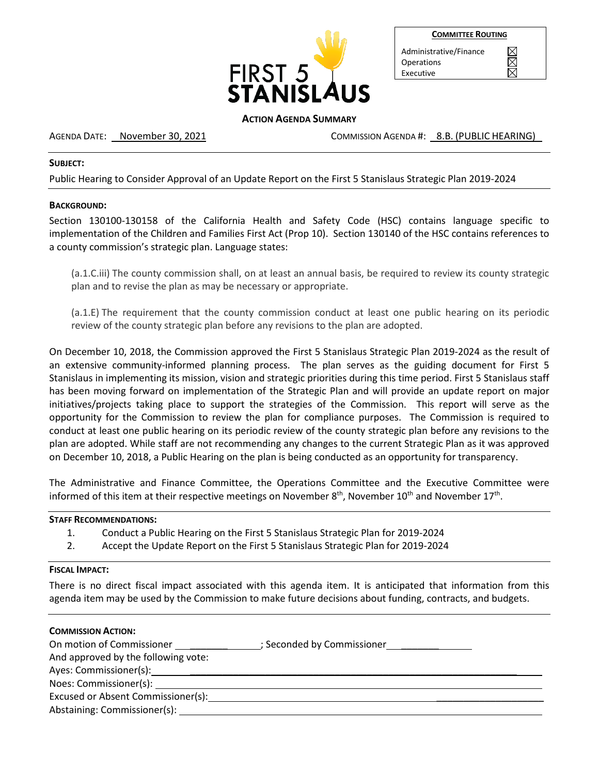

| <b>COMMITTEE ROUTING</b> |  |
|--------------------------|--|
|                          |  |

Administrative/Finance **Operations** Executive

# **ACTION AGENDA SUMMARY**

AGENDA DATE: November 30, 2021 COMMISSION AGENDA #: 8.B. (PUBLIC HEARING)

## **SUBJECT:**

Public Hearing to Consider Approval of an Update Report on the First 5 Stanislaus Strategic Plan 2019-2024

## **BACKGROUND:**

Section 130100-130158 of the California Health and Safety Code (HSC) contains language specific to implementation of the Children and Families First Act (Prop 10). Section 130140 of the HSC contains references to a county commission's strategic plan. Language states:

(a.1.C.iii) The county commission shall, on at least an annual basis, be required to review its county strategic plan and to revise the plan as may be necessary or appropriate.

(a.1.E) The requirement that the county commission conduct at least one public hearing on its periodic review of the county strategic plan before any revisions to the plan are adopted.

On December 10, 2018, the Commission approved the First 5 Stanislaus Strategic Plan 2019-2024 as the result of an extensive community-informed planning process. The plan serves as the guiding document for First 5 Stanislaus in implementing its mission, vision and strategic priorities during this time period. First 5 Stanislaus staff has been moving forward on implementation of the Strategic Plan and will provide an update report on major initiatives/projects taking place to support the strategies of the Commission. This report will serve as the opportunity for the Commission to review the plan for compliance purposes. The Commission is required to conduct at least one public hearing on its periodic review of the county strategic plan before any revisions to the plan are adopted. While staff are not recommending any changes to the current Strategic Plan as it was approved on December 10, 2018, a Public Hearing on the plan is being conducted as an opportunity for transparency.

The Administrative and Finance Committee, the Operations Committee and the Executive Committee were informed of this item at their respective meetings on November  $8<sup>th</sup>$ , November  $10<sup>th</sup>$  and November  $17<sup>th</sup>$ .

### **STAFF RECOMMENDATIONS:**

- 1. Conduct a Public Hearing on the First 5 Stanislaus Strategic Plan for 2019-2024
- 2. Accept the Update Report on the First 5 Stanislaus Strategic Plan for 2019-2024

#### **FISCAL IMPACT:**

There is no direct fiscal impact associated with this agenda item. It is anticipated that information from this agenda item may be used by the Commission to make future decisions about funding, contracts, and budgets.

| <b>COMMISSION ACTION:</b>                     |                            |
|-----------------------------------------------|----------------------------|
| On motion of Commissioner                     | ; Seconded by Commissioner |
| And approved by the following vote:           |                            |
| Ayes: Commissioner(s): Ayes: Commissioner(s): |                            |
|                                               |                            |
| Excused or Absent Commissioner(s):            |                            |
| Abstaining: Commissioner(s):                  |                            |